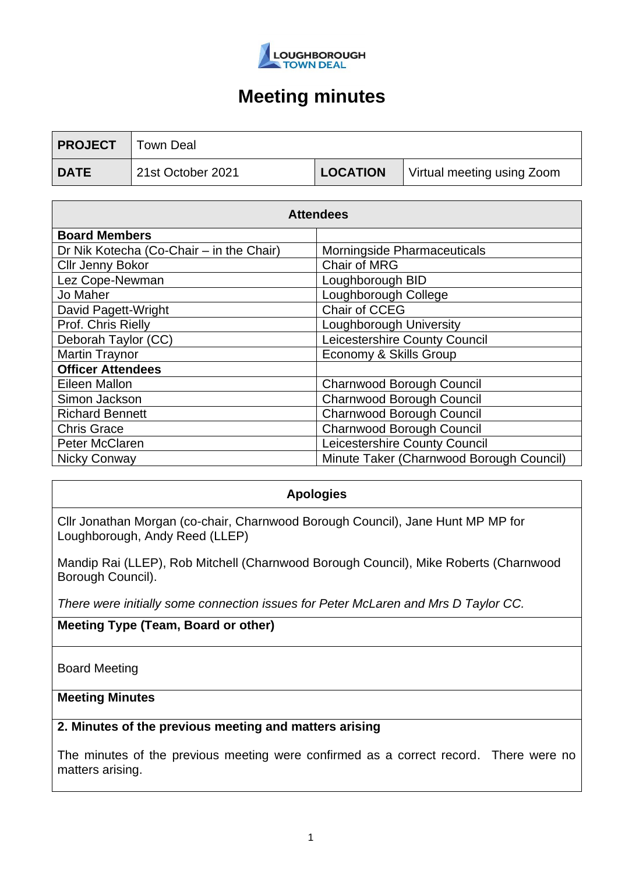

| <b>PROJECT</b> | Town Deal         |                 |                            |
|----------------|-------------------|-----------------|----------------------------|
| <b>DATE</b>    | 21st October 2021 | <b>LOCATION</b> | Virtual meeting using Zoom |

| <b>Attendees</b>                         |                                          |  |  |
|------------------------------------------|------------------------------------------|--|--|
| <b>Board Members</b>                     |                                          |  |  |
| Dr Nik Kotecha (Co-Chair – in the Chair) | Morningside Pharmaceuticals              |  |  |
| <b>Cllr Jenny Bokor</b>                  | Chair of MRG                             |  |  |
| Lez Cope-Newman                          | Loughborough BID                         |  |  |
| Jo Maher                                 | Loughborough College                     |  |  |
| David Pagett-Wright                      | Chair of CCEG                            |  |  |
| Prof. Chris Rielly                       | Loughborough University                  |  |  |
| Deborah Taylor (CC)                      | Leicestershire County Council            |  |  |
| <b>Martin Traynor</b>                    | Economy & Skills Group                   |  |  |
| <b>Officer Attendees</b>                 |                                          |  |  |
| Eileen Mallon                            | Charnwood Borough Council                |  |  |
| Simon Jackson                            | <b>Charnwood Borough Council</b>         |  |  |
| <b>Richard Bennett</b>                   | Charnwood Borough Council                |  |  |
| <b>Chris Grace</b>                       | <b>Charnwood Borough Council</b>         |  |  |
| Peter McClaren                           | Leicestershire County Council            |  |  |
| Nicky Conway                             | Minute Taker (Charnwood Borough Council) |  |  |

### **Apologies**

Cllr Jonathan Morgan (co-chair, Charnwood Borough Council), Jane Hunt MP MP for Loughborough, Andy Reed (LLEP)

Mandip Rai (LLEP), Rob Mitchell (Charnwood Borough Council), Mike Roberts (Charnwood Borough Council).

*There were initially some connection issues for Peter McLaren and Mrs D Taylor CC.*

**Meeting Type (Team, Board or other)**

Board Meeting

#### **Meeting Minutes**

### **2. Minutes of the previous meeting and matters arising**

The minutes of the previous meeting were confirmed as a correct record. There were no matters arising.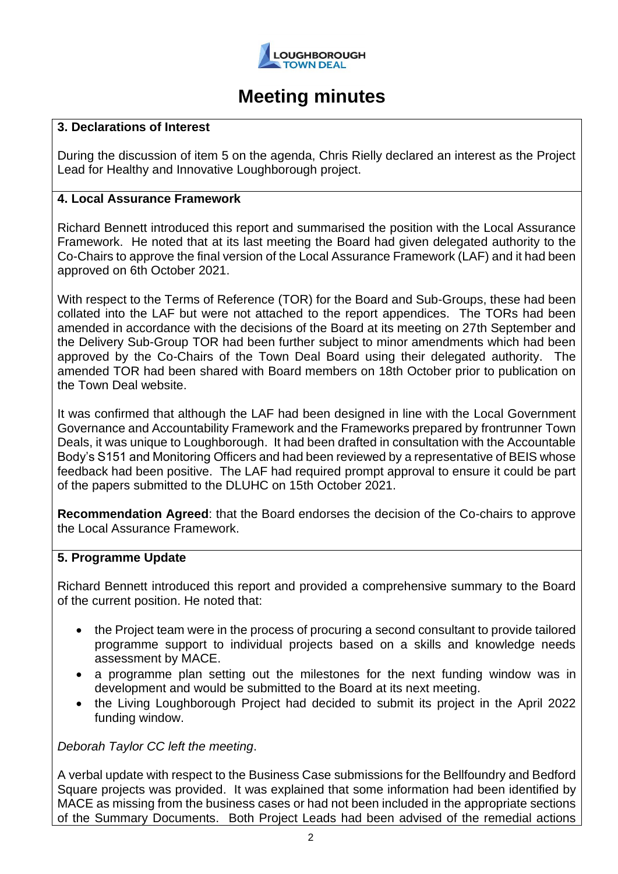

#### **3. Declarations of Interest**

During the discussion of item 5 on the agenda, Chris Rielly declared an interest as the Project Lead for Healthy and Innovative Loughborough project.

#### **4. Local Assurance Framework**

Richard Bennett introduced this report and summarised the position with the Local Assurance Framework. He noted that at its last meeting the Board had given delegated authority to the Co-Chairs to approve the final version of the Local Assurance Framework (LAF) and it had been approved on 6th October 2021.

With respect to the Terms of Reference (TOR) for the Board and Sub-Groups, these had been collated into the LAF but were not attached to the report appendices. The TORs had been amended in accordance with the decisions of the Board at its meeting on 27th September and the Delivery Sub-Group TOR had been further subject to minor amendments which had been approved by the Co-Chairs of the Town Deal Board using their delegated authority. The amended TOR had been shared with Board members on 18th October prior to publication on the Town Deal website.

It was confirmed that although the LAF had been designed in line with the Local Government Governance and Accountability Framework and the Frameworks prepared by frontrunner Town Deals, it was unique to Loughborough. It had been drafted in consultation with the Accountable Body's S151 and Monitoring Officers and had been reviewed by a representative of BEIS whose feedback had been positive. The LAF had required prompt approval to ensure it could be part of the papers submitted to the DLUHC on 15th October 2021.

**Recommendation Agreed**: that the Board endorses the decision of the Co-chairs to approve the Local Assurance Framework.

#### **5. Programme Update**

Richard Bennett introduced this report and provided a comprehensive summary to the Board of the current position. He noted that:

- the Project team were in the process of procuring a second consultant to provide tailored programme support to individual projects based on a skills and knowledge needs assessment by MACE.
- a programme plan setting out the milestones for the next funding window was in development and would be submitted to the Board at its next meeting.
- the Living Loughborough Project had decided to submit its project in the April 2022 funding window.

*Deborah Taylor CC left the meeting*.

A verbal update with respect to the Business Case submissions for the Bellfoundry and Bedford Square projects was provided. It was explained that some information had been identified by MACE as missing from the business cases or had not been included in the appropriate sections of the Summary Documents. Both Project Leads had been advised of the remedial actions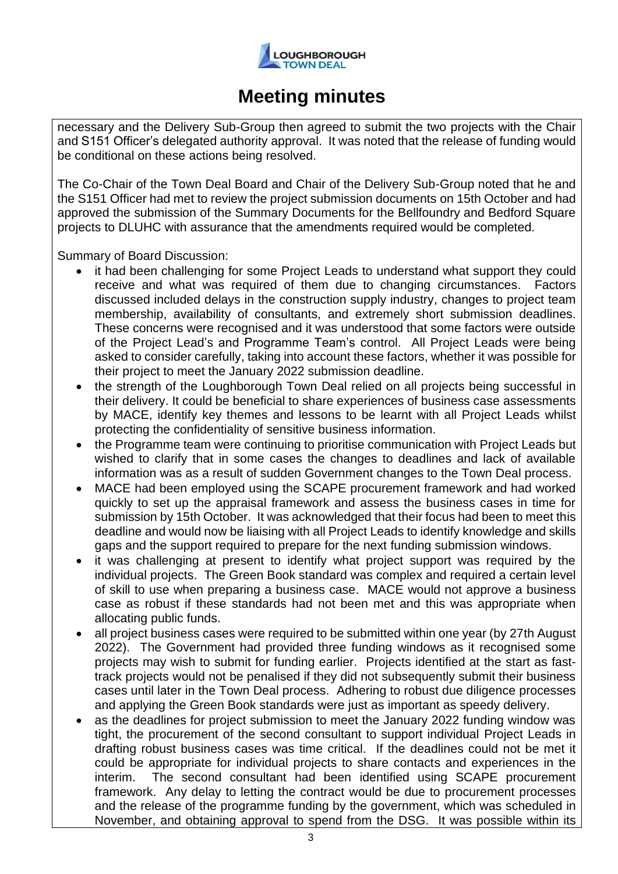

necessary and the Delivery Sub-Group then agreed to submit the two projects with the Chair and S151 Officer's delegated authority approval. It was noted that the release of funding would be conditional on these actions being resolved.

The Co-Chair of the Town Deal Board and Chair of the Delivery Sub-Group noted that he and the S151 Officer had met to review the project submission documents on 15th October and had approved the submission of the Summary Documents for the Bellfoundry and Bedford Square projects to DLUHC with assurance that the amendments required would be completed.

Summary of Board Discussion:

- it had been challenging for some Project Leads to understand what support they could receive and what was required of them due to changing circumstances. Factors discussed included delays in the construction supply industry, changes to project team membership, availability of consultants, and extremely short submission deadlines. These concerns were recognised and it was understood that some factors were outside of the Project Lead's and Programme Team's control. All Project Leads were being asked to consider carefully, taking into account these factors, whether it was possible for their project to meet the January 2022 submission deadline.
- the strength of the Loughborough Town Deal relied on all projects being successful in their delivery. It could be beneficial to share experiences of business case assessments by MACE, identify key themes and lessons to be learnt with all Project Leads whilst protecting the confidentiality of sensitive business information.
- the Programme team were continuing to prioritise communication with Project Leads but wished to clarify that in some cases the changes to deadlines and lack of available information was as a result of sudden Government changes to the Town Deal process.
- MACE had been employed using the SCAPE procurement framework and had worked quickly to set up the appraisal framework and assess the business cases in time for submission by 15th October. It was acknowledged that their focus had been to meet this deadline and would now be liaising with all Project Leads to identify knowledge and skills gaps and the support required to prepare for the next funding submission windows.
- it was challenging at present to identify what project support was required by the individual projects. The Green Book standard was complex and required a certain level of skill to use when preparing a business case. MACE would not approve a business case as robust if these standards had not been met and this was appropriate when allocating public funds.
- all project business cases were required to be submitted within one year (by 27th August 2022). The Government had provided three funding windows as it recognised some projects may wish to submit for funding earlier. Projects identified at the start as fasttrack projects would not be penalised if they did not subsequently submit their business cases until later in the Town Deal process. Adhering to robust due diligence processes and applying the Green Book standards were just as important as speedy delivery.
- as the deadlines for project submission to meet the January 2022 funding window was tight, the procurement of the second consultant to support individual Project Leads in drafting robust business cases was time critical. If the deadlines could not be met it could be appropriate for individual projects to share contacts and experiences in the interim. The second consultant had been identified using SCAPE procurement framework. Any delay to letting the contract would be due to procurement processes and the release of the programme funding by the government, which was scheduled in November, and obtaining approval to spend from the DSG. It was possible within its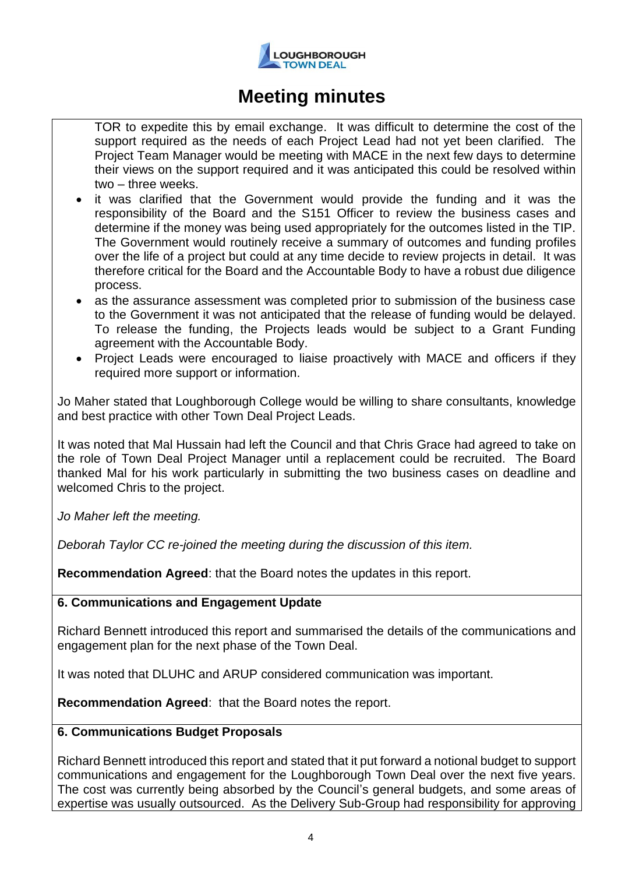

TOR to expedite this by email exchange. It was difficult to determine the cost of the support required as the needs of each Project Lead had not yet been clarified. The Project Team Manager would be meeting with MACE in the next few days to determine their views on the support required and it was anticipated this could be resolved within two – three weeks.

- it was clarified that the Government would provide the funding and it was the responsibility of the Board and the S151 Officer to review the business cases and determine if the money was being used appropriately for the outcomes listed in the TIP. The Government would routinely receive a summary of outcomes and funding profiles over the life of a project but could at any time decide to review projects in detail. It was therefore critical for the Board and the Accountable Body to have a robust due diligence process.
- as the assurance assessment was completed prior to submission of the business case to the Government it was not anticipated that the release of funding would be delayed. To release the funding, the Projects leads would be subject to a Grant Funding agreement with the Accountable Body.
- Project Leads were encouraged to liaise proactively with MACE and officers if they required more support or information.

Jo Maher stated that Loughborough College would be willing to share consultants, knowledge and best practice with other Town Deal Project Leads.

It was noted that Mal Hussain had left the Council and that Chris Grace had agreed to take on the role of Town Deal Project Manager until a replacement could be recruited. The Board thanked Mal for his work particularly in submitting the two business cases on deadline and welcomed Chris to the project.

*Jo Maher left the meeting.*

*Deborah Taylor CC re-joined the meeting during the discussion of this item.*

**Recommendation Agreed**: that the Board notes the updates in this report.

### **6. Communications and Engagement Update**

Richard Bennett introduced this report and summarised the details of the communications and engagement plan for the next phase of the Town Deal.

It was noted that DLUHC and ARUP considered communication was important.

**Recommendation Agreed**: that the Board notes the report.

### **6. Communications Budget Proposals**

Richard Bennett introduced this report and stated that it put forward a notional budget to support communications and engagement for the Loughborough Town Deal over the next five years. The cost was currently being absorbed by the Council's general budgets, and some areas of expertise was usually outsourced. As the Delivery Sub-Group had responsibility for approving